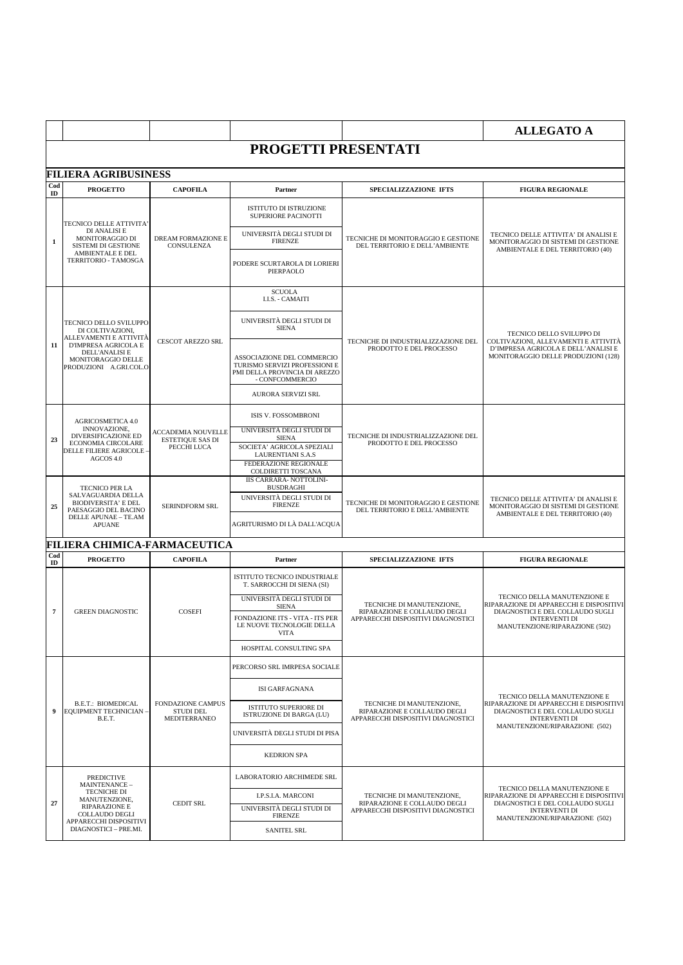|                      |                                                                                                                  |                                                                     |                                                                                                                 |                                                                                                                         | <b>ALLEGATO A</b>                                                                                                                                                     |
|----------------------|------------------------------------------------------------------------------------------------------------------|---------------------------------------------------------------------|-----------------------------------------------------------------------------------------------------------------|-------------------------------------------------------------------------------------------------------------------------|-----------------------------------------------------------------------------------------------------------------------------------------------------------------------|
|                      |                                                                                                                  |                                                                     | PROGETTI PRESENTATI                                                                                             |                                                                                                                         |                                                                                                                                                                       |
|                      | <b>FILIERA AGRIBUSINESS</b>                                                                                      |                                                                     |                                                                                                                 |                                                                                                                         |                                                                                                                                                                       |
| Cod<br>$\mathbf{ID}$ | <b>PROGETTO</b>                                                                                                  | <b>CAPOFILA</b>                                                     | Partner                                                                                                         | SPECIALIZZAZIONE IFTS                                                                                                   | <b>FIGURA REGIONALE</b>                                                                                                                                               |
|                      | TECNICO DELLE ATTIVITA'                                                                                          |                                                                     | ISTITUTO DI ISTRUZIONE<br>SUPERIORE PACINOTTI                                                                   |                                                                                                                         |                                                                                                                                                                       |
| 1                    | DI ANALISI E<br>MONITORAGGIO DI<br><b>SISTEMI DI GESTIONE</b>                                                    | DREAM FORMAZIONE E<br>CONSULENZA                                    | UNIVERSITÀ DEGLI STUDI DI<br><b>FIRENZE</b>                                                                     | TECNICHE DI MONITORAGGIO E GESTIONE<br>DEL TERRITORIO E DELL'AMBIENTE                                                   | TECNICO DELLE ATTIVITA' DI ANALISI E<br>MONITORAGGIO DI SISTEMI DI GESTIONE<br>AMBIENTALE E DEL TERRITORIO (40)                                                       |
|                      | <b>AMBIENTALE E DEL</b><br>TERRITORIO - TAMOSGA                                                                  |                                                                     | PODERE SCURTAROLA DI LORIERI<br>PIERPAOLO                                                                       |                                                                                                                         |                                                                                                                                                                       |
|                      |                                                                                                                  |                                                                     | <b>SCUOLA</b><br>I.I.S. - CAMAITI                                                                               |                                                                                                                         |                                                                                                                                                                       |
|                      | TECNICO DELLO SVILUPPO<br>DI COLTIVAZIONI,                                                                       |                                                                     | UNIVERSITÀ DEGLI STUDI DI<br><b>SIENA</b>                                                                       |                                                                                                                         | TECNICO DELLO SVILUPPO DI                                                                                                                                             |
| 11                   | ALLEVAMENTI E ATTIVITÀ<br>D'IMPRESA AGRICOLA E<br>DELL'ANALISI E<br>MONITORAGGIO DELLE<br>PRODUZIONI A.GRI.COL.O | <b>CESCOT AREZZO SRL</b>                                            | ASSOCIAZIONE DEL COMMERCIO<br>TURISMO SERVIZI PROFESSIONI E<br>PMI DELLA PROVINCIA DI AREZZO<br>- CONFCOMMERCIO | TECNICHE DI INDUSTRIALIZZAZIONE DEL<br>PRODOTTO E DEL PROCESSO                                                          | COLTIVAZIONI. ALLEVAMENTI E ATTIVITÀ<br>D'IMPRESA AGRICOLA E DELL'ANALISI E<br>MONITORAGGIO DELLE PRODUZIONI (128)                                                    |
|                      |                                                                                                                  |                                                                     | AURORA SERVIZI SRL                                                                                              |                                                                                                                         |                                                                                                                                                                       |
|                      | AGRICOSMETICA 4.0                                                                                                | <b>ACCADEMIA NOUVELLE</b><br><b>ESTETIQUE SAS DI</b><br>PECCHI LUCA | ISIS V. FOSSOMBRONI                                                                                             | TECNICHE DI INDUSTRIALIZZAZIONE DEL<br>PRODOTTO E DEL PROCESSO                                                          |                                                                                                                                                                       |
| 23                   | INNOVAZIONE,<br><b>DIVERSIFICAZIONE ED</b>                                                                       |                                                                     | UNIVERSITÀ DEGLI STUDI DI<br><b>SIENA</b>                                                                       |                                                                                                                         |                                                                                                                                                                       |
|                      | ECONOMIA CIRCOLARE<br><b>DELLE FILIERE AGRICOLE</b><br>AGCOS 4.0                                                 |                                                                     | SOCIETA' AGRICOLA SPEZIALI<br><b>LAURENTIANI S.A.S</b>                                                          |                                                                                                                         |                                                                                                                                                                       |
|                      |                                                                                                                  |                                                                     | FEDERAZIONE REGIONALE<br>COLDIRETTI TOSCANA                                                                     |                                                                                                                         |                                                                                                                                                                       |
|                      | <b>TECNICO PER LA</b>                                                                                            | <b>SERINDFORM SRL</b>                                               | <b>IIS CARRARA- NOTTOLINI-</b><br><b>BUSDRAGHI</b>                                                              | TECNICHE DI MONITORAGGIO E GESTIONE<br>DEL TERRITORIO E DELL'AMBIENTE                                                   |                                                                                                                                                                       |
| 25                   | SALVAGUARDIA DELLA<br><b>BIODIVERSITA' E DEL</b><br>PAESAGGIO DEL BACINO                                         |                                                                     | UNIVERSITÀ DEGLI STUDI DI<br><b>FIRENZE</b>                                                                     |                                                                                                                         | TECNICO DELLE ATTIVITA' DI ANALISI E<br>MONITORAGGIO DI SISTEMI DI GESTIONE<br>AMBIENTALE E DEL TERRITORIO (40)                                                       |
|                      | DELLE APUNAE - TE.AM<br><b>APUANE</b>                                                                            |                                                                     | AGRITURISMO DI LÀ DALL'ACQUA                                                                                    |                                                                                                                         |                                                                                                                                                                       |
|                      | FILIERA CHIMICA-FARMACEUTICA                                                                                     |                                                                     |                                                                                                                 |                                                                                                                         |                                                                                                                                                                       |
| Cod<br>$\mathbf{D}$  | <b>PROGETTO</b>                                                                                                  | <b>CAPOFILA</b>                                                     | Partner                                                                                                         | SPECIALIZZAZIONE IFTS                                                                                                   | <b>FIGURA REGIONALE</b>                                                                                                                                               |
|                      |                                                                                                                  |                                                                     | ISTITUTO TECNICO INDUSTRIALE<br>T. SARROCCHI DI SIENA (SI)                                                      | TECNICHE DI MANUTENZIONE,<br>RIPARAZIONE E COLLAUDO DEGLI<br>APPARECCHI DISPOSITIVI DIAGNOSTICI                         | TECNICO DELLA MANUTENZIONE E<br>RIPARAZIONE DI APPARECCHI E DISPOSITIVI<br>DIAGNOSTICI E DEL COLLAUDO SUGLI<br><b>INTERVENTI DI</b><br>MANUTENZIONE/RIPARAZIONE (502) |
| $\scriptstyle\rm 7$  | <b>GREEN DIAGNOSTIC</b>                                                                                          | COSEFI                                                              | UNIVERSITÀ DEGLI STUDI DI<br><b>SIENA</b>                                                                       |                                                                                                                         |                                                                                                                                                                       |
|                      |                                                                                                                  |                                                                     | FONDAZIONE ITS - VITA - ITS PER<br>LE NUOVE TECNOLOGIE DELLA<br>VITA                                            |                                                                                                                         |                                                                                                                                                                       |
|                      |                                                                                                                  |                                                                     | HOSPITAL CONSULTING SPA                                                                                         |                                                                                                                         |                                                                                                                                                                       |
|                      |                                                                                                                  |                                                                     | PERCORSO SRL IMRPESA SOCIALE                                                                                    |                                                                                                                         |                                                                                                                                                                       |
|                      |                                                                                                                  |                                                                     | ISI GARFAGNANA                                                                                                  |                                                                                                                         | TECNICO DELLA MANUTENZIONE E<br>RIPARAZIONE DI APPARECCHI E DISPOSITIVI<br>DIAGNOSTICI E DEL COLLAUDO SUGLI<br><b>INTERVENTI DI</b>                                   |
| 9                    | <b>B.E.T.: BIOMEDICAL</b><br>EQUIPMENT TECHNICIAN -<br>B.E.T.                                                    | <b>FONDAZIONE CAMPUS</b><br>STUDI DEL<br>MEDITERRANEO               | <b>ISTITUTO SUPERIORE DI</b><br>ISTRUZIONE DI BARGA (LU)                                                        | TECNICHE DI MANUTENZIONE,<br>RIPARAZIONE E COLLAUDO DEGLI<br>APPARECCHI DISPOSITIVI DIAGNOSTICI                         |                                                                                                                                                                       |
|                      |                                                                                                                  |                                                                     | UNIVERSITÀ DEGLI STUDI DI PISA                                                                                  |                                                                                                                         | MANUTENZIONE/RIPARAZIONE (502)                                                                                                                                        |
|                      |                                                                                                                  |                                                                     | <b>KEDRION SPA</b>                                                                                              |                                                                                                                         |                                                                                                                                                                       |
|                      | <b>PREDICTIVE</b><br>MAINTENANCE-                                                                                |                                                                     | LABORATORIO ARCHIMEDE SRL                                                                                       |                                                                                                                         |                                                                                                                                                                       |
|                      | TECNICHE DI<br>MANUTENZIONE,                                                                                     | <b>CEDIT SRL</b>                                                    | I.P.S.I.A. MARCONI                                                                                              | TECNICHE DI MANUTENZIONE,<br>RIPARAZIONE E COLLAUDO DEGLI<br>APPARECCHI DISPOSITIVI DIAGNOSTICI<br><b>INTERVENTI DI</b> | TECNICO DELLA MANUTENZIONE E<br>RIPARAZIONE DI APPARECCHI E DISPOSITIVI<br>DIAGNOSTICI E DEL COLLAUDO SUGLI                                                           |
|                      | RIPARAZIONE E<br><b>COLLAUDO DEGLI</b>                                                                           |                                                                     |                                                                                                                 |                                                                                                                         |                                                                                                                                                                       |
| 27                   | APPARECCHI DISPOSITIVI                                                                                           |                                                                     | UNIVERSITÀ DEGLI STUDI DI<br><b>FIRENZE</b>                                                                     |                                                                                                                         | MANUTENZIONE/RIPARAZIONE (502)                                                                                                                                        |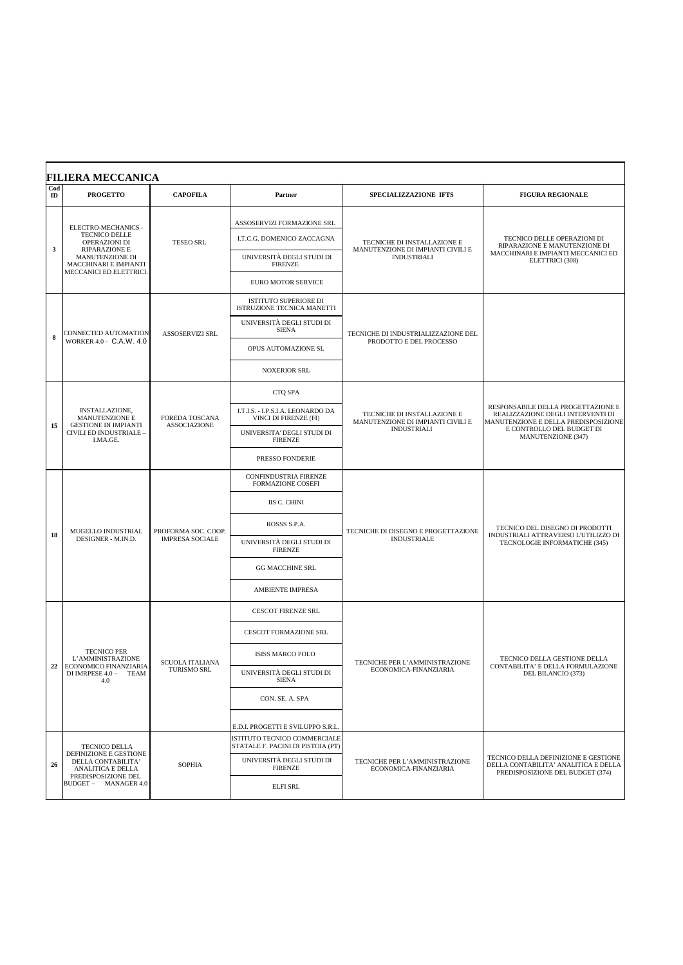| Cod<br>ID | <b>PROGETTO</b>                                                   | <b>CAPOFILA</b>                                                                  | Partner                                                           | <b>SPECIALIZZAZIONE IFTS</b>                                                           | <b>FIGURA REGIONALE</b>                                                                                                                                            |
|-----------|-------------------------------------------------------------------|----------------------------------------------------------------------------------|-------------------------------------------------------------------|----------------------------------------------------------------------------------------|--------------------------------------------------------------------------------------------------------------------------------------------------------------------|
|           | ELECTRO-MECHANICS -<br>TECNICO DELLE<br>OPERAZIONI DI             |                                                                                  | ASSOSERVIZI FORMAZIONE SRL<br>I.T.C.G. DOMENICO ZACCAGNA          | TECNICHE DI INSTALLAZIONE E                                                            | TECNICO DELLE OPERAZIONI DI<br>RIPARAZIONE E MANUTENZIONE DI<br>MACCHINARI E IMPIANTI MECCANICI ED<br>ELETTRICI (308)                                              |
| 3         | <b>RIPARAZIONE E</b><br>MANUTENZIONE DI<br>MACCHINARI E IMPIANTI  | <b>TESEO SRL</b>                                                                 | UNIVERSITÀ DEGLI STUDI DI<br><b>FIRENZE</b>                       | MANUTENZIONE DI IMPIANTI CIVILI E<br><b>INDUSTRIALI</b>                                |                                                                                                                                                                    |
|           | MECCANICI ED ELETTRICI.                                           |                                                                                  | <b>EURO MOTOR SERVICE</b>                                         |                                                                                        |                                                                                                                                                                    |
|           |                                                                   |                                                                                  | <b>ISTITUTO SUPERIORE DI</b><br>ISTRUZIONE TECNICA MANETTI        |                                                                                        |                                                                                                                                                                    |
| 8         | CONNECTED AUTOMATION                                              | <b>ASSOSERVIZI SRL</b>                                                           | UNIVERSITÀ DEGLI STUDI DI<br><b>SIENA</b>                         | TECNICHE DI INDUSTRIALIZZAZIONE DEL                                                    |                                                                                                                                                                    |
|           | WORKER 4.0 - C.A.W. 4.0                                           |                                                                                  | OPUS AUTOMAZIONE SL                                               | PRODOTTO E DEL PROCESSO                                                                |                                                                                                                                                                    |
|           |                                                                   |                                                                                  | <b>NOXERIOR SRL</b>                                               |                                                                                        |                                                                                                                                                                    |
|           |                                                                   |                                                                                  | CTQ SPA                                                           |                                                                                        |                                                                                                                                                                    |
|           | INSTALLAZIONE,<br>MANUTENZIONE E                                  | FOREDA TOSCANA<br><b>GESTIONE DI IMPIANTI</b><br><b>ASSOCIAZIONE</b><br>I.MA.GE. | I.T.I.S. - I.P.S.I.A. LEONARDO DA<br>VINCI DI FIRENZE (FI)        | TECNICHE DI INSTALLAZIONE E<br>MANUTENZIONE DI IMPIANTI CIVILI E<br><b>INDUSTRIALI</b> | RESPONSABILE DELLA PROGETTAZIONE E<br>REALIZZAZIONE DEGLI INTERVENTI DI<br>MANUTENZIONE E DELLA PREDISPOSIZIONE<br>E CONTROLLO DEL BUDGET DI<br>MANUTENZIONE (347) |
| 15        | CIVILI ED INDUSTRIALE -                                           |                                                                                  | UNIVERSITA' DEGLI STUDI DI<br><b>FIRENZE</b>                      |                                                                                        |                                                                                                                                                                    |
|           |                                                                   |                                                                                  | PRESSO FONDERIE                                                   |                                                                                        |                                                                                                                                                                    |
|           |                                                                   | PROFORMA SOC. COOP.<br><b>IMPRESA SOCIALE</b>                                    | <b>CONFINDUSTRIA FIRENZE</b><br><b>FORMAZIONE COSEFI</b>          | TECNICHE DI DISEGNO E PROGETTAZIONE<br><b>INDUSTRIALE</b>                              |                                                                                                                                                                    |
|           |                                                                   |                                                                                  | IIS C. CHINI                                                      |                                                                                        | TECNICO DEL DISEGNO DI PRODOTTI<br>INDUSTRIALI ATTRAVERSO L'UTILIZZO DI<br>TECNOLOGIE INFORMATICHE (345)                                                           |
| 18        | MUGELLO INDUSTRIAL                                                |                                                                                  | ROSSS S.P.A.                                                      |                                                                                        |                                                                                                                                                                    |
|           | DESIGNER - M.IN.D.                                                |                                                                                  | UNIVERSITÀ DEGLI STUDI DI<br><b>FIRENZE</b>                       |                                                                                        |                                                                                                                                                                    |
|           |                                                                   |                                                                                  | <b>GG MACCHINE SRL</b>                                            |                                                                                        |                                                                                                                                                                    |
|           |                                                                   |                                                                                  | <b>AMBIENTE IMPRESA</b>                                           |                                                                                        |                                                                                                                                                                    |
|           |                                                                   |                                                                                  | <b>CESCOT FIRENZE SRL</b>                                         |                                                                                        |                                                                                                                                                                    |
|           |                                                                   |                                                                                  | CESCOT FORMAZIONE SRL                                             |                                                                                        | TECNICO DELLA GESTIONE DELLA                                                                                                                                       |
|           | <b>TECNICO PER</b><br>L'AMMINISTRAZIONE<br>ECONOMICO FINANZIARIA  | <b>SCUOLA ITALIANA</b>                                                           | ISISS MARCO POLO                                                  | TECNICHE PER L'AMMINISTRAZIONE                                                         |                                                                                                                                                                    |
| 22        | DI IMRPESE 4.0 - TEAM<br>4.0                                      | <b>TURISMO SRL</b>                                                               | UNIVERSITÀ DEGLI STUDI DI<br><b>SIENA</b>                         | CONTABILITA' E DELLA FORMULAZIONE<br>ECONOMICA-FINANZIARIA<br>DEL BILANCIO (373)       |                                                                                                                                                                    |
|           |                                                                   |                                                                                  | CON. SE. A. SPA                                                   |                                                                                        |                                                                                                                                                                    |
|           |                                                                   |                                                                                  | E.D.I. PROGETTI E SVILUPPO S.R.L.                                 |                                                                                        |                                                                                                                                                                    |
|           | <b>TECNICO DELLA</b>                                              |                                                                                  | ISTITUTO TECNICO COMMERCIALE<br>STATALE F. PACINI DI PISTOIA (PT) |                                                                                        |                                                                                                                                                                    |
| 26        | DEFINIZIONE E GESTIONE<br>DELLA CONTABILITA'<br>ANALITICA E DELLA | <b>SOPHIA</b>                                                                    | UNIVERSITÀ DEGLI STUDI DI<br><b>FIRENZE</b>                       | TECNICHE PER L'AMMINISTRAZIONE<br>ECONOMICA-FINANZIARIA                                | TECNICO DELLA DEFINIZIONE E GESTIONE<br>DELLA CONTABILITA' ANALITICA E DELLA<br>PREDISPOSIZIONE DEL BUDGET (374)                                                   |
|           | PREDISPOSIZIONE DEL<br>BUDGET - MANAGER 4.0                       |                                                                                  | <b>ELFI SRL</b>                                                   |                                                                                        |                                                                                                                                                                    |
|           |                                                                   |                                                                                  |                                                                   |                                                                                        |                                                                                                                                                                    |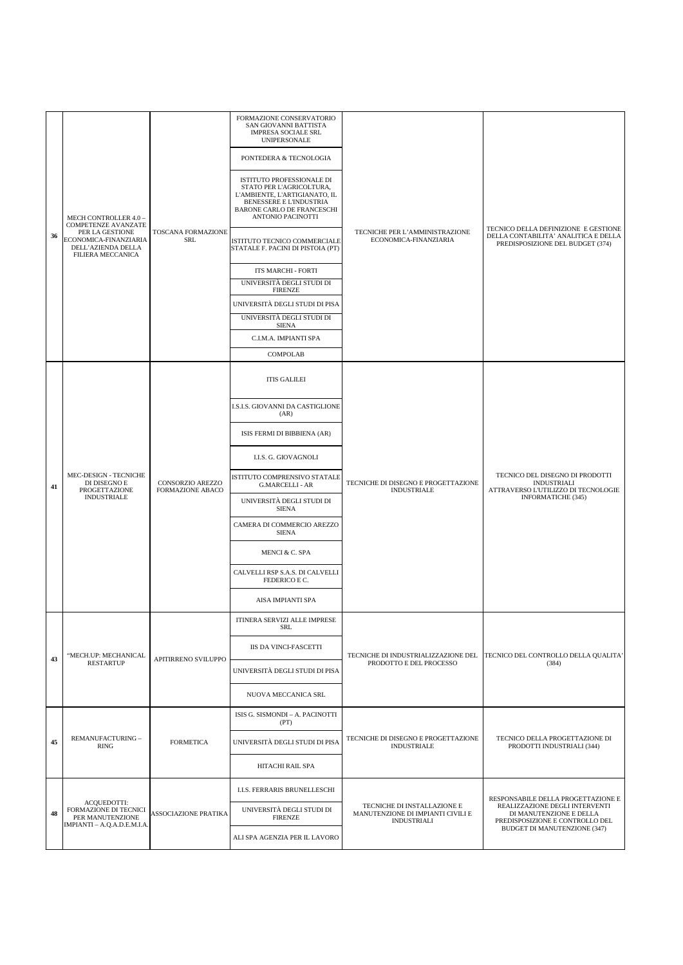| 36 | MECH CONTROLLER 4.0 -<br>COMPETENZE AVANZATE<br>PER LA GESTIONE<br>ECONOMICA-FINANZIARIA<br>DELL'AZIENDA DELLA<br><b>FILIERA MECCANICA</b> | TOSCANA FORMAZIONE<br>SRL                   | FORMAZIONE CONSERVATORIO<br>SAN GIOVANNI BATTISTA<br><b>IMPRESA SOCIALE SRL</b><br><b>UNIPERSONALE</b><br>PONTEDERA & TECNOLOGIA<br>ISTITUTO PROFESSIONALE DI<br>STATO PER L'AGRICOLTURA,<br>L'AMBIENTE, L'ARTIGIANATO, IL<br>BENESSERE E L'INDUSTRIA<br>BARONE CARLO DE FRANCESCHI<br>ANTONIO PACINOTTI<br>ISTITUTO TECNICO COMMERCIALE<br>STATALE F. PACINI DI PISTOIA (PT)<br>ITS MARCHI - FORTI<br>UNIVERSITÀ DEGLI STUDI DI<br><b>FIRENZE</b><br>UNIVERSITÀ DEGLI STUDI DI PISA<br>UNIVERSITÀ DEGLI STUDI DI<br><b>SIENA</b><br>C.I.M.A. IMPIANTI SPA<br>COMPOLAB | TECNICHE PER L'AMMINISTRAZIONE<br>ECONOMICA-FINANZIARIA                                | TECNICO DELLA DEFINIZIONE E GESTIONE<br>DELLA CONTABILITA' ANALITICA E DELLA<br>PREDISPOSIZIONE DEL BUDGET (374)                                                          |
|----|--------------------------------------------------------------------------------------------------------------------------------------------|---------------------------------------------|------------------------------------------------------------------------------------------------------------------------------------------------------------------------------------------------------------------------------------------------------------------------------------------------------------------------------------------------------------------------------------------------------------------------------------------------------------------------------------------------------------------------------------------------------------------------|----------------------------------------------------------------------------------------|---------------------------------------------------------------------------------------------------------------------------------------------------------------------------|
| 41 | MEC-DESIGN - TECNICHE<br>DI DISEGNO E<br>PROGETTAZIONE<br><b>INDUSTRIALE</b>                                                               | CONSORZIO AREZZO<br><b>FORMAZIONE ABACO</b> | <b>ITIS GALILEI</b><br>I.S.I.S. GIOVANNI DA CASTIGLIONE<br>(AR)<br>ISIS FERMI DI BIBBIENA (AR)<br>I.I.S. G. GIOVAGNOLI<br>ISTITUTO COMPRENSIVO STATALE<br><b>G.MARCELLI - AR</b><br>UNIVERSITÀ DEGLI STUDI DI<br><b>SIENA</b><br>CAMERA DI COMMERCIO AREZZO<br><b>SIENA</b><br>MENCI & C. SPA<br>CALVELLI RSP S.A.S. DI CALVELLI<br>FEDERICO E C.<br><b>AISA IMPIANTI SPA</b>                                                                                                                                                                                          | TECNICHE DI DISEGNO E PROGETTAZIONE<br><b>INDUSTRIALE</b>                              | TECNICO DEL DISEGNO DI PRODOTTI<br><b>INDUSTRIALI</b><br>ATTRAVERSO L'UTILIZZO DI TECNOLOGIE<br>INFORMATICHE (345)                                                        |
| 43 | "MECH.UP: MECHANICAL<br><b>RESTARTUP</b>                                                                                                   | APITIRRENO SVILUPPO                         | ITINERA SERVIZI ALLE IMPRESE<br><b>SRL</b><br><b>IIS DA VINCI-FASCETTI</b><br>UNIVERSITÀ DEGLI STUDI DI PISA<br>NUOVA MECCANICA SRL                                                                                                                                                                                                                                                                                                                                                                                                                                    | TECNICHE DI INDUSTRIALIZZAZIONE DEL<br>PRODOTTO E DEL PROCESSO                         | TECNICO DEL CONTROLLO DELLA QUALITA'<br>(384)                                                                                                                             |
| 45 | REMANUFACTURING -<br>RING                                                                                                                  | <b>FORMETICA</b>                            | ISIS G. SISMONDI - A. PACINOTTI<br>(PT)<br>UNIVERSITÀ DEGLI STUDI DI PISA<br>HITACHI RAIL SPA                                                                                                                                                                                                                                                                                                                                                                                                                                                                          | TECNICHE DI DISEGNO E PROGETTAZIONE<br><b>INDUSTRIALE</b>                              | TECNICO DELLA PROGETTAZIONE DI<br>PRODOTTI INDUSTRIALI (344)                                                                                                              |
| 48 | ACQUEDOTTI:<br>FORMAZIONE DI TECNICI<br>PER MANUTENZIONE<br>IMPIANTI - A.Q.A.D.E.M.I.A.                                                    | <b>ASSOCIAZIONE PRATIKA</b>                 | <b>I.I.S. FERRARIS BRUNELLESCHI</b><br>UNIVERSITÀ DEGLI STUDI DI<br><b>FIRENZE</b><br>ALI SPA AGENZIA PER IL LAVORO                                                                                                                                                                                                                                                                                                                                                                                                                                                    | TECNICHE DI INSTALLAZIONE E<br>MANUTENZIONE DI IMPIANTI CIVILI E<br><b>INDUSTRIALI</b> | RESPONSABILE DELLA PROGETTAZIONE E<br>REALIZZAZIONE DEGLI INTERVENTI<br>DI MANUTENZIONE E DELLA<br>PREDISPOSIZIONE E CONTROLLO DEL<br><b>BUDGET DI MANUTENZIONE (347)</b> |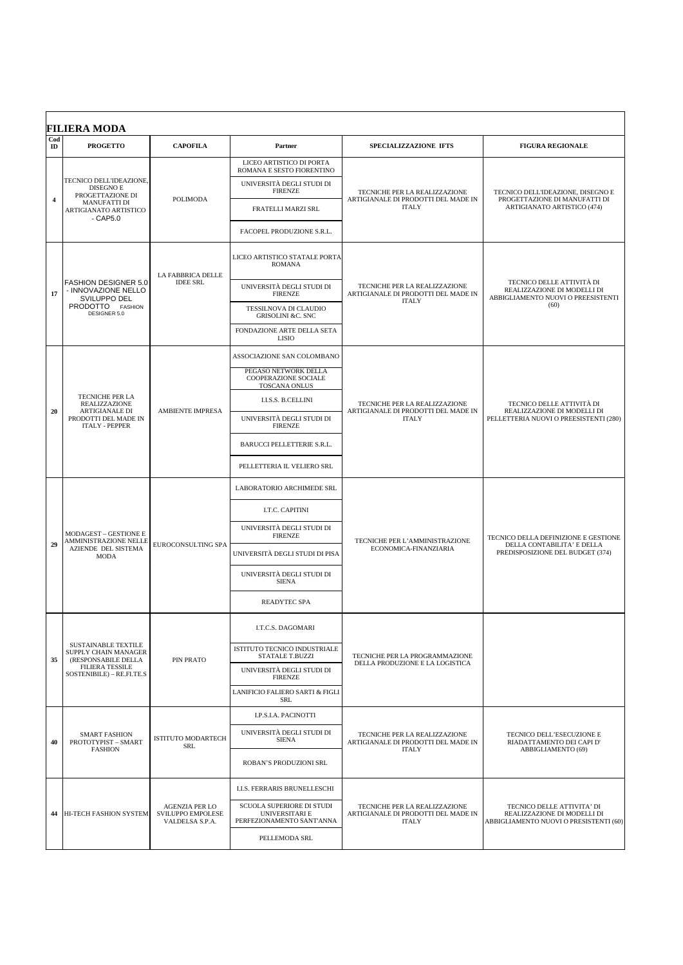| Cod<br>ID      | <b>PROGETTO</b>                                                            | <b>CAPOFILA</b>                                                          | Partner                                                                  | SPECIALIZZAZIONE IFTS                                                                | <b>FIGURA REGIONALE</b>                                                                                |
|----------------|----------------------------------------------------------------------------|--------------------------------------------------------------------------|--------------------------------------------------------------------------|--------------------------------------------------------------------------------------|--------------------------------------------------------------------------------------------------------|
|                |                                                                            |                                                                          | LICEO ARTISTICO DI PORTA<br>ROMANA E SESTO FIORENTINO                    | TECNICHE PER LA REALIZZAZIONE                                                        |                                                                                                        |
|                | TECNICO DELL'IDEAZIONE,<br>DISEGNO E                                       |                                                                          | UNIVERSITÀ DEGLI STUDI DI<br><b>FIRENZE</b>                              |                                                                                      | TECNICO DELL'IDEAZIONE, DISEGNO E                                                                      |
| $\overline{4}$ | PROGETTAZIONE DI<br><b>MANUFATTI DI</b><br>ARTIGIANATO ARTISTICO           | <b>POLIMODA</b>                                                          | FRATELLI MARZI SRL                                                       | ARTIGIANALE DI PRODOTTI DEL MADE IN<br><b>ITALY</b>                                  | PROGETTAZIONE DI MANUFATTI DI<br>ARTIGIANATO ARTISTICO (474)                                           |
|                | - CAP5.0                                                                   |                                                                          | FACOPEL PRODUZIONE S.R.L.                                                |                                                                                      |                                                                                                        |
|                |                                                                            | LA FABBRICA DELLE                                                        | LICEO ARTISTICO STATALE PORTA<br><b>ROMANA</b>                           |                                                                                      |                                                                                                        |
| 17             | <b>FASHION DESIGNER 5.0</b><br>- INNOVAZIONE NELLO<br>SVILUPPO DEL         | <b>IDEE SRL</b>                                                          | UNIVERSITÀ DEGLI STUDI DI<br><b>FIRENZE</b>                              | TECNICHE PER LA REALIZZAZIONE<br>ARTIGIANALE DI PRODOTTI DEL MADE IN                 | TECNICO DELLE ATTIVITÀ DI<br>REALIZZAZIONE DI MODELLI DI<br>ABBIGLIAMENTO NUOVI O PREESISTENTI         |
|                | PRODOTTO FASHION<br>DESIGNER 5.0                                           |                                                                          | TESSILNOVA DI CLAUDIO<br><b>GRISOLINI &amp;C. SNC</b>                    | <b>ITALY</b>                                                                         | (60)                                                                                                   |
|                |                                                                            |                                                                          | FONDAZIONE ARTE DELLA SETA<br>LISIO                                      |                                                                                      |                                                                                                        |
|                |                                                                            |                                                                          | ASSOCIAZIONE SAN COLOMBANO                                               |                                                                                      |                                                                                                        |
|                |                                                                            |                                                                          | PEGASO NETWORK DELLA<br>COOPERAZIONE SOCIALE<br>TOSCANA ONLUS            |                                                                                      | TECNICO DELLE ATTIVITÀ DI<br>REALIZZAZIONE DI MODELLI DI<br>PELLETTERIA NUOVI O PREESISTENTI (280)     |
|                | TECNICHE PER LA<br><b>REALIZZAZIONE</b>                                    | <b>AMBIENTE IMPRESA</b>                                                  | <b>I.I.S.S. B.CELLINI</b>                                                | TECNICHE PER LA REALIZZAZIONE<br>ARTIGIANALE DI PRODOTTI DEL MADE IN<br><b>ITALY</b> |                                                                                                        |
| 20             | ARTIGIANALE DI<br>PRODOTTI DEL MADE IN<br><b>ITALY - PEPPER</b>            |                                                                          | UNIVERSITÀ DEGLI STUDI DI<br><b>FIRENZE</b>                              |                                                                                      |                                                                                                        |
|                |                                                                            |                                                                          | BARUCCI PELLETTERIE S.R.L.                                               |                                                                                      |                                                                                                        |
|                |                                                                            |                                                                          | PELLETTERIA IL VELIERO SRL                                               |                                                                                      |                                                                                                        |
|                |                                                                            | <b>AMMINISTRAZIONE NELLE</b><br><b>EUROCONSULTING SPA</b><br><b>MODA</b> | LABORATORIO ARCHIMEDE SRL                                                | TECNICHE PER L'AMMINISTRAZIONE<br>ECONOMICA-FINANZIARIA                              |                                                                                                        |
|                |                                                                            |                                                                          | I.T.C. CAPITINI                                                          |                                                                                      |                                                                                                        |
|                | <b>MODAGEST - GESTIONE E</b>                                               |                                                                          | UNIVERSITÀ DEGLI STUDI DI<br><b>FIRENZE</b>                              |                                                                                      | TECNICO DELLA DEFINIZIONE E GESTIONE<br>DELLA CONTABILITA' E DELLA<br>PREDISPOSIZIONE DEL BUDGET (374) |
| 29             | AZIENDE DEL SISTEMA                                                        |                                                                          | UNIVERSITÀ DEGLI STUDI DI PISA                                           |                                                                                      |                                                                                                        |
|                |                                                                            |                                                                          | UNIVERSITÀ DEGLI STUDI DI<br><b>SIENA</b>                                |                                                                                      |                                                                                                        |
|                |                                                                            |                                                                          | READYTEC SPA                                                             |                                                                                      |                                                                                                        |
|                |                                                                            |                                                                          | I.T.C.S. DAGOMARI                                                        | TECNICHE PER LA PROGRAMMAZIONE<br>DELLA PRODUZIONE E LA LOGISTICA                    |                                                                                                        |
|                | SUSTAINABLE TEXTILE<br>SUPPLY CHAIN MANAGER                                |                                                                          | ISTITUTO TECNICO INDUSTRIALE<br><b>STATALE T.BUZZI</b>                   |                                                                                      |                                                                                                        |
| 35             | (RESPONSABILE DELLA<br><b>FILIERA TESSILE</b><br>SOSTENIBILE) - RE.FI.TE.S | PIN PRATO                                                                | UNIVERSITÀ DEGLI STUDI DI<br><b>FIRENZE</b>                              |                                                                                      |                                                                                                        |
|                |                                                                            |                                                                          | LANIFICIO FALIERO SARTI & FIGLI<br><b>SRL</b>                            |                                                                                      |                                                                                                        |
|                |                                                                            |                                                                          | <b>I.P.S.I.A. PACINOTTI</b>                                              | TECNICHE PER LA REALIZZAZIONE<br>ARTIGIANALE DI PRODOTTI DEL MADE IN<br><b>ITALY</b> |                                                                                                        |
| 40             | <b>SMART FASHION</b><br>PROTOTYPIST - SMART                                | <b>ISTITUTO MODARTECH</b><br>SRL                                         | UNIVERSITÀ DEGLI STUDI DI<br><b>SIENA</b>                                |                                                                                      | TECNICO DELL'ESECUZIONE E<br>RIADATTAMENTO DEI CAPI D'                                                 |
|                | <b>FASHION</b>                                                             |                                                                          | ROBAN'S PRODUZIONI SRL                                                   |                                                                                      | ABBIGLIAMENTO (69)                                                                                     |
|                |                                                                            |                                                                          | I.I.S. FERRARIS BRUNELLESCHI                                             | TECNICHE PER LA REALIZZAZIONE<br>ARTIGIANALE DI PRODOTTI DEL MADE IN<br><b>ITALY</b> |                                                                                                        |
|                | 44 HI-TECH FASHION SYSTEM                                                  | <b>AGENZIA PER LO</b><br>SVILUPPO EMPOLESE<br>VALDELSA S.P.A.            | SCUOLA SUPERIORE DI STUDI<br>UNIVERSITARI E<br>PERFEZIONAMENTO SANT'ANNA |                                                                                      | TECNICO DELLE ATTIVITA' DI<br>REALIZZAZIONE DI MODELLI DI<br>ABBIGLIAMENTO NUOVI O PRESISTENTI (60)    |
|                |                                                                            |                                                                          | PELLEMODA SRL                                                            |                                                                                      |                                                                                                        |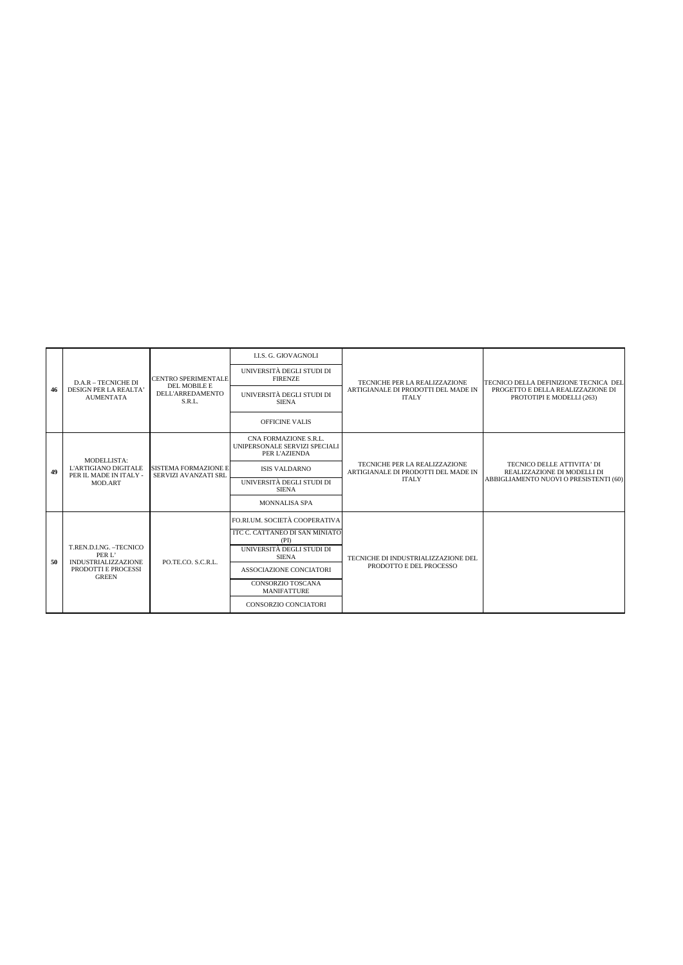|    | D.A.R - TECNICHE DI                                                                                                                                                                                                                                                                                     | CENTRO SPERIMENTALE<br>DEL MOBILE E | <b>I.I.S. G. GIOVAGNOLI</b>                 | TECNICHE PER LA REALIZZAZIONE<br>TECNICO DELLA DEFINIZIONE TECNICA DEL<br>ARTIGIANALE DI PRODOTTI DEL MADE IN<br>PROGETTO E DELLA REALIZZAZIONE DI<br><b>ITALY</b><br>PROTOTIPI E MODELLI (263)<br>TECNICO DELLE ATTIVITA' DI<br>TECNICHE PER LA REALIZZAZIONE<br>ARTIGIANALE DI PRODOTTI DEL MADE IN<br>REALIZZAZIONE DI MODELLI DI<br><b>ITALY</b><br>ABBIGLIAMENTO NUOVI O PRESISTENTI (60) |  |
|----|---------------------------------------------------------------------------------------------------------------------------------------------------------------------------------------------------------------------------------------------------------------------------------------------------------|-------------------------------------|---------------------------------------------|------------------------------------------------------------------------------------------------------------------------------------------------------------------------------------------------------------------------------------------------------------------------------------------------------------------------------------------------------------------------------------------------|--|
| 46 |                                                                                                                                                                                                                                                                                                         |                                     | UNIVERSITÀ DEGLI STUDI DI<br><b>FIRENZE</b> |                                                                                                                                                                                                                                                                                                                                                                                                |  |
|    | DESIGN PER LA REALTA'<br><b>AUMENTATA</b>                                                                                                                                                                                                                                                               | <b>DELL'ARREDAMENTO</b><br>S.R.L.   | UNIVERSITÀ DEGLI STUDI DI<br><b>SIENA</b>   |                                                                                                                                                                                                                                                                                                                                                                                                |  |
|    |                                                                                                                                                                                                                                                                                                         |                                     | <b>OFFICINE VALIS</b>                       |                                                                                                                                                                                                                                                                                                                                                                                                |  |
|    | CNA FORMAZIONE S.R.L.<br>UNIPERSONALE SERVIZI SPECIALI<br>PER L'AZIENDA<br>MODELLISTA:<br>L'ARTIGIANO DIGITALE<br><b>SISTEMA FORMAZIONE E</b><br><b>ISIS VALDARNO</b><br>PER IL MADE IN ITALY -<br>SERVIZI AVANZATI SRL<br>UNIVERSITÀ DEGLI STUDI DI<br>MOD.ART<br><b>SIENA</b><br><b>MONNALISA SPA</b> |                                     |                                             |                                                                                                                                                                                                                                                                                                                                                                                                |  |
| 49 |                                                                                                                                                                                                                                                                                                         |                                     |                                             |                                                                                                                                                                                                                                                                                                                                                                                                |  |
|    |                                                                                                                                                                                                                                                                                                         |                                     |                                             |                                                                                                                                                                                                                                                                                                                                                                                                |  |
|    |                                                                                                                                                                                                                                                                                                         |                                     |                                             |                                                                                                                                                                                                                                                                                                                                                                                                |  |
|    |                                                                                                                                                                                                                                                                                                         |                                     | FO.RLUM. SOCIETÀ COOPERATIVA                |                                                                                                                                                                                                                                                                                                                                                                                                |  |
|    |                                                                                                                                                                                                                                                                                                         |                                     | ITC C. CATTANEO DI SAN MINIATO<br>(PD)      | TECNICHE DI INDUSTRIALIZZAZIONE DEL<br>PRODOTTO E DEL PROCESSO                                                                                                                                                                                                                                                                                                                                 |  |
| 50 | T.REN.D.I.NG. - TECNICO<br>PER L'                                                                                                                                                                                                                                                                       |                                     | UNIVERSITÀ DEGLI STUDI DI<br><b>SIENA</b>   |                                                                                                                                                                                                                                                                                                                                                                                                |  |
|    | <b>INDUSTRIALIZZAZIONE</b><br>PRODOTTI E PROCESSI<br><b>GREEN</b>                                                                                                                                                                                                                                       | PO.TE.CO. S.C.R.L.                  | ASSOCIAZIONE CONCIATORI                     |                                                                                                                                                                                                                                                                                                                                                                                                |  |
|    |                                                                                                                                                                                                                                                                                                         |                                     | CONSORZIO TOSCANA<br><b>MANIFATTURE</b>     |                                                                                                                                                                                                                                                                                                                                                                                                |  |
|    |                                                                                                                                                                                                                                                                                                         |                                     | <b>CONSORZIO CONCIATORI</b>                 |                                                                                                                                                                                                                                                                                                                                                                                                |  |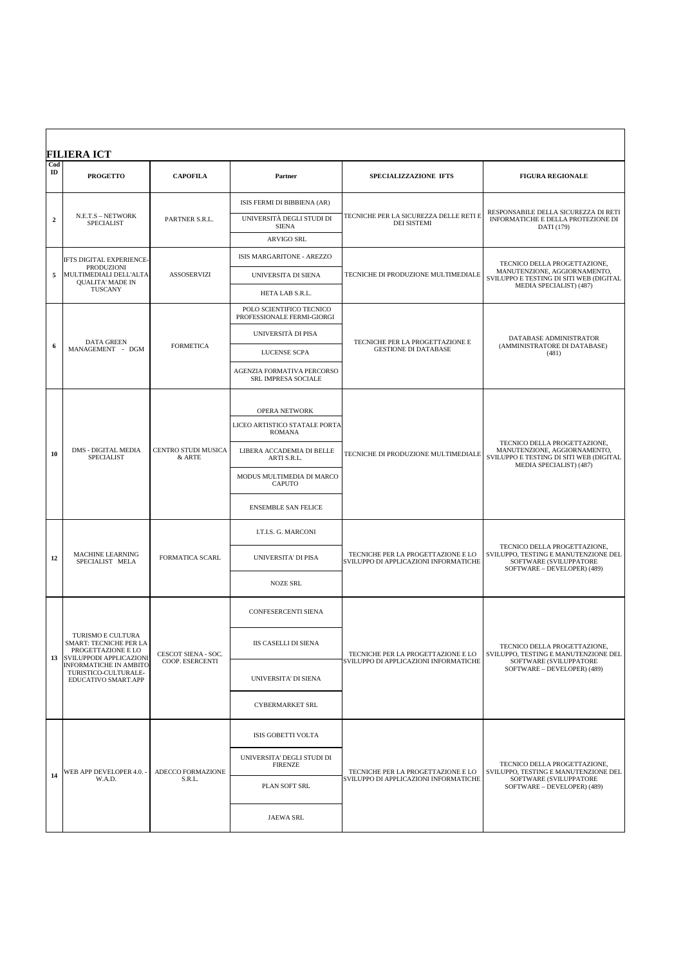|                      | <b>FILIERA ICT</b>                                                                           |                                        |                                                                 |                                                                             |                                                                                                                                    |
|----------------------|----------------------------------------------------------------------------------------------|----------------------------------------|-----------------------------------------------------------------|-----------------------------------------------------------------------------|------------------------------------------------------------------------------------------------------------------------------------|
| Cod<br>$\mathbf{ID}$ | <b>PROGETTO</b>                                                                              | <b>CAPOFILA</b>                        | Partner                                                         | SPECIALIZZAZIONE IFTS                                                       | <b>FIGURA REGIONALE</b>                                                                                                            |
|                      | N.E.T.S - NETWORK<br><b>SPECIALIST</b>                                                       |                                        | ISIS FERMI DI BIBBIENA (AR)                                     | TECNICHE PER LA SICUREZZA DELLE RETI E<br><b>DEI SISTEMI</b>                | RESPONSABILE DELLA SICUREZZA DI RETI<br>INFORMATICHE E DELLA PROTEZIONE DI<br>DATI (179)                                           |
| $\overline{2}$       |                                                                                              | PARTNER S.R.L.                         | UNIVERSITÀ DEGLI STUDI DI<br><b>SIENA</b>                       |                                                                             |                                                                                                                                    |
|                      |                                                                                              |                                        | <b>ARVIGO SRL</b>                                               |                                                                             |                                                                                                                                    |
|                      | IFTS DIGITAL EXPERIENCE-                                                                     |                                        | ISIS MARGARITONE - AREZZO                                       |                                                                             | TECNICO DELLA PROGETTAZIONE,<br>MANUTENZIONE, AGGIORNAMENTO,<br>SVILUPPO E TESTING DI SITI WEB (DIGITAL<br>MEDIA SPECIALIST) (487) |
| 5                    | PRODUZIONI<br>MULTIMEDIALI DELL'ALTA<br><b>QUALITA' MADE IN</b>                              | <b>ASSOSERVIZI</b>                     | UNIVERSITA DI SIENA                                             | TECNICHE DI PRODUZIONE MULTIMEDIALE                                         |                                                                                                                                    |
|                      | TUSCANY                                                                                      |                                        | HETA LAB S.R.L.                                                 |                                                                             |                                                                                                                                    |
|                      |                                                                                              |                                        | POLO SCIENTIFICO TECNICO<br>PROFESSIONALE FERMI-GIORGI          |                                                                             |                                                                                                                                    |
|                      | <b>DATA GREEN</b>                                                                            |                                        | UNIVERSITÀ DI PISA                                              | TECNICHE PER LA PROGETTAZIONE E                                             | DATABASE ADMINISTRATOR                                                                                                             |
| 6                    | MANAGEMENT - DGM                                                                             | <b>FORMETICA</b>                       | LUCENSE SCPA                                                    | <b>GESTIONE DI DATABASE</b>                                                 | (AMMINISTRATORE DI DATABASE)<br>(481)                                                                                              |
|                      |                                                                                              |                                        | AGENZIA FORMATIVA PERCORSO<br>SRL IMPRESA SOCIALE               |                                                                             |                                                                                                                                    |
|                      |                                                                                              | CENTRO STUDI MUSICA<br>& ARTE          | OPERA NETWORK<br>LICEO ARTISTICO STATALE PORTA<br><b>ROMANA</b> | TECNICHE DI PRODUZIONE MULTIMEDIALE                                         | TECNICO DELLA PROGETTAZIONE,<br>MANUTENZIONE, AGGIORNAMENTO.<br>SVILUPPO E TESTING DI SITI WEB (DIGITAL<br>MEDIA SPECIALIST) (487) |
| 10                   | <b>DMS - DIGITAL MEDIA</b><br>SPECIALIST                                                     |                                        | LIBERA ACCADEMIA DI BELLE<br>ARTI S.R.L.                        |                                                                             |                                                                                                                                    |
|                      |                                                                                              |                                        | MODUS MULTIMEDIA DI MARCO<br><b>CAPUTO</b>                      |                                                                             |                                                                                                                                    |
|                      |                                                                                              |                                        | <b>ENSEMBLE SAN FELICE</b>                                      |                                                                             |                                                                                                                                    |
|                      |                                                                                              | FORMATICA SCARL                        | I.T.I.S. G. MARCONI                                             | TECNICHE PER LA PROGETTAZIONE E LO<br>SVILUPPO DI APPLICAZIONI INFORMATICHE | TECNICO DELLA PROGETTAZIONE,<br>SVILUPPO, TESTING E MANUTENZIONE DEL<br>SOFTWARE (SVILUPPATORE<br>SOFTWARE - DEVELOPER) (489)      |
| 12                   | MACHINE LEARNING<br>SPECIALIST MELA                                                          |                                        | UNIVERSITA' DI PISA                                             |                                                                             |                                                                                                                                    |
|                      |                                                                                              |                                        | <b>NOZE SRL</b>                                                 |                                                                             |                                                                                                                                    |
|                      |                                                                                              |                                        | CONFESERCENTI SIENA                                             |                                                                             |                                                                                                                                    |
| 13                   | TURISMO E CULTURA<br>SMART: TECNICHE PER LA<br>PROGETTAZIONE E LO<br>SVILUPPODI APPLICAZIONI | CESCOT SIENA - SOC.<br>COOP. ESERCENTI | IIS CASELLI DI SIENA                                            | TECNICHE PER LA PROGETTAZIONE E LO<br>SVILUPPO DI APPLICAZIONI INFORMATICHE | TECNICO DELLA PROGETTAZIONE,<br>SVILUPPO, TESTING E MANUTENZIONE DEL<br>SOFTWARE (SVILUPPATORE<br>SOFTWARE - DEVELOPER) (489)      |
|                      | INFORMATICHE IN AMBITO<br>TURISTICO-CULTURALE-<br>EDUCATIVO SMART.APP                        |                                        | UNIVERSITA' DI SIENA                                            |                                                                             |                                                                                                                                    |
|                      |                                                                                              |                                        | CYBERMARKET SRL                                                 |                                                                             |                                                                                                                                    |
|                      |                                                                                              | ADECCO FORMAZIONE<br>S.R.L.            | ISIS GOBETTI VOLTA                                              | TECNICHE PER LA PROGETTAZIONE E LO<br>SVILUPPO DI APPLICAZIONI INFORMATICHE | TECNICO DELLA PROGETTAZIONE,                                                                                                       |
|                      |                                                                                              |                                        | UNIVERSITA' DEGLI STUDI DI<br><b>FIRENZE</b>                    |                                                                             |                                                                                                                                    |
| 14                   | WEB APP DEVELOPER 4.0. -<br>W.A.D.                                                           |                                        | PLAN SOFT SRL                                                   |                                                                             | SVILUPPO, TESTING E MANUTENZIONE DEL<br>SOFTWARE (SVILUPPATORE<br>SOFTWARE - DEVELOPER) (489)                                      |
|                      |                                                                                              |                                        | <b>JAEWA SRL</b>                                                |                                                                             |                                                                                                                                    |
|                      |                                                                                              |                                        |                                                                 |                                                                             |                                                                                                                                    |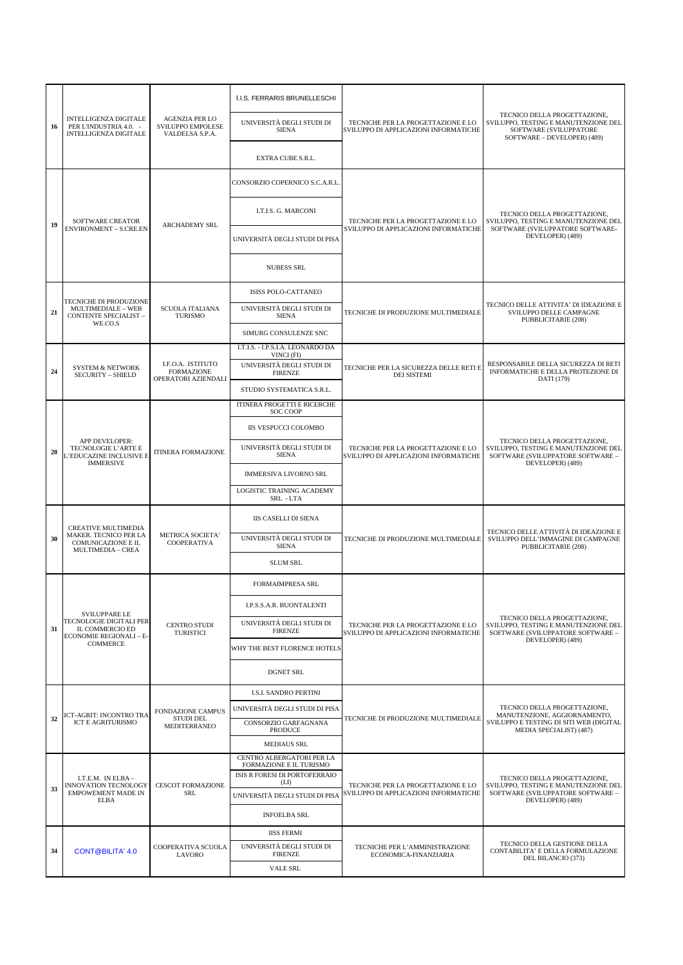|    |                                                                                               |                                                               | I.I.S. FERRARIS BRUNELLESCHI                                                          |                                                                             |                                                                                                                               |
|----|-----------------------------------------------------------------------------------------------|---------------------------------------------------------------|---------------------------------------------------------------------------------------|-----------------------------------------------------------------------------|-------------------------------------------------------------------------------------------------------------------------------|
| 16 | INTELLIGENZA DIGITALE<br>PER L'INDUSTRIA 4.0. -<br><b>INTELLIGENZA DIGITALE</b>               | <b>AGENZIA PER LO</b><br>SVILUPPO EMPOLESE<br>VALDELSA S.P.A. | UNIVERSITÀ DEGLI STUDI DI<br><b>SIENA</b>                                             | TECNICHE PER LA PROGETTAZIONE E LO<br>SVILUPPO DI APPLICAZIONI INFORMATICHE | TECNICO DELLA PROGETTAZIONE,<br>SVILUPPO, TESTING E MANUTENZIONE DEL<br>SOFTWARE (SVILUPPATORE<br>SOFTWARE - DEVELOPER) (489) |
|    |                                                                                               |                                                               | EXTRA CUBE S.R.L.                                                                     |                                                                             |                                                                                                                               |
|    | <b>SOFTWARE CREATOR</b><br><b>ENVIRONMENT - S.CRE.EN</b>                                      |                                                               | CONSORZIO COPERNICO S.C.A.R.L                                                         |                                                                             |                                                                                                                               |
|    |                                                                                               |                                                               | I.T.I.S. G. MARCONI                                                                   | TECNICHE PER LA PROGETTAZIONE E LO                                          | TECNICO DELLA PROGETTAZIONE.<br>SVILUPPO. TESTING E MANUTENZIONE DEL                                                          |
| 19 |                                                                                               | <b>ARCHADEMY SRL</b>                                          | UNIVERSITÀ DEGLI STUDI DI PISA                                                        | SVILUPPO DI APPLICAZIONI INFORMATICHE                                       | SOFTWARE (SVILUPPATORE SOFTWARE-<br>DEVELOPER) (489)                                                                          |
|    |                                                                                               |                                                               | <b>NUBESS SRL</b>                                                                     |                                                                             |                                                                                                                               |
|    |                                                                                               |                                                               | ISISS POLO-CATTANEO                                                                   |                                                                             |                                                                                                                               |
| 21 | TECNICHE DI PRODUZIONE<br>MULTIMEDIALE - WEB<br><b>CONTENTE SPECIALIST -</b><br>WE.CO.S       | <b>SCUOLA ITALIANA</b><br><b>TURISMO</b>                      | UNIVERSITÀ DEGLI STUDI DI<br><b>SIENA</b>                                             | TECNICHE DI PRODUZIONE MULTIMEDIALE                                         | TECNICO DELLE ATTIVITA' DI IDEAZIONE E<br>SVILUPPO DELLE CAMPAGNE<br>PUBBLICITARIE (208)                                      |
|    |                                                                                               |                                                               | SIMURG CONSULENZE SNC                                                                 |                                                                             |                                                                                                                               |
|    |                                                                                               |                                                               | I.T.I.S. - I.P.S.I.A. LEONARDO DA<br>VINCI (FI)                                       |                                                                             |                                                                                                                               |
| 24 | <b>SYSTEM &amp; NETWORK</b><br><b>SECURITY - SHIELD</b>                                       | I.F.O.A. ISTITUTO<br><b>FORMAZIONE</b><br>OPERATORI AZIENDALI | UNIVERSITÀ DEGLI STUDI DI<br><b>FIRENZE</b>                                           | TECNICHE PER LA SICUREZZA DELLE RETI E<br><b>DEI SISTEMI</b>                | RESPONSABILE DELLA SICUREZZA DI RETI<br>INFORMATICHE E DELLA PROTEZIONE DI<br>DATI (179)                                      |
|    |                                                                                               |                                                               | STUDIO SYSTEMATICA S.R.L.                                                             |                                                                             |                                                                                                                               |
|    |                                                                                               |                                                               | ITINERA PROGETTI E RICERCHE<br>SOC COOP                                               |                                                                             |                                                                                                                               |
|    |                                                                                               |                                                               | IIS VESPUCCI COLOMBO                                                                  | TECNICHE PER LA PROGETTAZIONE E LO<br>SVILUPPO DI APPLICAZIONI INFORMATICHE |                                                                                                                               |
| 28 | APP DEVELOPER:<br>TECNOLOGIE L'ARTE E<br>L'EDUCAZINE INCLUSIVE E<br><b>IMMERSIVE</b>          | <b>ITINERA FORMAZIONE</b>                                     | UNIVERSITÀ DEGLI STUDI DI<br><b>SIENA</b>                                             |                                                                             | TECNICO DELLA PROGETTAZIONE,<br>SVILUPPO, TESTING E MANUTENZIONE DEL<br>SOFTWARE (SVILUPPATORE SOFTWARE -<br>DEVELOPER) (489) |
|    |                                                                                               |                                                               | <b>IMMERSIVA LIVORNO SRL</b>                                                          |                                                                             |                                                                                                                               |
|    |                                                                                               |                                                               | LOGISTIC TRAINING ACADEMY<br>SRL - LTA                                                |                                                                             |                                                                                                                               |
|    | CREATIVE MULTIMEDIA                                                                           |                                                               | <b>IIS CASELLI DI SIENA</b>                                                           | TECNICHE DI PRODUZIONE MULTIMEDIALE                                         |                                                                                                                               |
| 30 | MAKER. TECNICO PER LA<br>COMUNICAZIONE E IL<br>MULTIMEDIA - CREA                              | METRICA SOCIETA'<br>COOPERATIVA                               | UNIVERSITÀ DEGLI STUDI DI<br><b>SIENA</b>                                             |                                                                             | TECNICO DELLE ATTIVITÀ DI IDEAZIONE E<br>SVILUPPO DELL'IMMAGINE DI CAMPAGNE<br>PUBBLICITARIE (208)                            |
|    |                                                                                               |                                                               | <b>SLUM SRL</b>                                                                       |                                                                             |                                                                                                                               |
|    |                                                                                               |                                                               | FORMAIMPRESA SRL                                                                      |                                                                             |                                                                                                                               |
|    |                                                                                               |                                                               | I.P.S.S.A.R. BUONTALENTI                                                              |                                                                             |                                                                                                                               |
| 31 | <b>SVILUPPARE LE</b><br>TECNOLOGIE DIGITALI PER<br>IL COMMERCIO ED<br>ECONOMIE REGIONALI - E- | <b>CENTRO STUDI</b><br><b>TURISTICI</b>                       | UNIVERSITÀ DEGLI STUDI DI<br><b>FIRENZE</b>                                           | TECNICHE PER LA PROGETTAZIONE E LO<br>SVILUPPO DI APPLICAZIONI INFORMATICHE | TECNICO DELLA PROGETTAZIONE.<br>SVILUPPO, TESTING E MANUTENZIONE DEL<br>SOFTWARE (SVILUPPATORE SOFTWARE -                     |
|    | <b>COMMERCE</b>                                                                               |                                                               | WHY THE BEST FLORENCE HOTELS                                                          |                                                                             | DEVELOPER) (489)                                                                                                              |
|    |                                                                                               |                                                               | <b>DGNET SRL</b>                                                                      |                                                                             |                                                                                                                               |
|    |                                                                                               |                                                               | <b>I.S.I. SANDRO PERTINI</b>                                                          |                                                                             |                                                                                                                               |
| 32 | ICT-AGRIT: INCONTRO TRA                                                                       | <b>FONDAZIONE CAMPUS</b><br>STUDI DEL                         | UNIVERSITÀ DEGLI STUDI DI PISA                                                        | TECNICHE DI PRODUZIONE MULTIMEDIALE                                         | TECNICO DELLA PROGETTAZIONE,<br>MANUTENZIONE, AGGIORNAMENTO,                                                                  |
|    | ICT E AGRITURISMO                                                                             | MEDITERRANEO                                                  | CONSORZIO GARFAGNANA<br><b>PRODUCE</b>                                                |                                                                             | SVILUPPO E TESTING DI SITI WEB (DIGITAL<br>MEDIA SPECIALIST) (487)                                                            |
|    |                                                                                               |                                                               | <b>MEDIAUS SRL</b>                                                                    |                                                                             |                                                                                                                               |
|    | I.T.E.M. IN ELBA-                                                                             | <b>CESCOT FORMAZIONE</b><br>SRL                               | CENTRO ALBERGATORI PER LA<br>FORMAZIONE E IL TURISMO<br>ISIS R FORESI DI PORTOFERRAIO | TECNICHE PER LA PROGETTAZIONE E LO<br>SVILUPPO DI APPLICAZIONI INFORMATICHE | TECNICO DELLA PROGETTAZIONE,                                                                                                  |
| 33 | INNOVATION TECNOLOGY<br><b>EMPOWEMENT MADE IN</b>                                             |                                                               | (LI)<br>UNIVERSITÀ DEGLI STUDI DI PISA                                                |                                                                             | SVILUPPO, TESTING E MANUTENZIONE DEL<br>SOFTWARE (SVILUPPATORE SOFTWARE -                                                     |
|    | <b>ELBA</b>                                                                                   |                                                               | <b>INFOELBA SRL</b>                                                                   |                                                                             | DEVELOPER) (489)                                                                                                              |
|    |                                                                                               |                                                               | <b>IISS FERMI</b>                                                                     |                                                                             |                                                                                                                               |
| 34 | <b>CONT@BILITA' 4.0</b>                                                                       | COOPERATIVA SCUOLA<br>LAVORO                                  | UNIVERSITÀ DEGLI STUDI DI<br><b>FIRENZE</b>                                           | TECNICHE PER L'AMMINISTRAZIONE<br>ECONOMICA-FINANZIARIA                     | TECNICO DELLA GESTIONE DELLA<br>CONTABILITA' E DELLA FORMULAZIONE<br>DEL BILANCIO (373)                                       |
|    |                                                                                               |                                                               | VALE SRL                                                                              |                                                                             |                                                                                                                               |